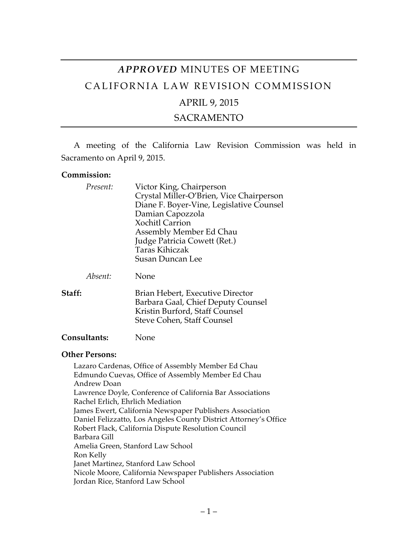# *APPROVED* MINUTES OF MEETING CALIFORNIA LAW REVISION COMMISSION APRIL 9, 2015

SACRAMENTO

A meeting of the California Law Revision Commission was held in Sacramento on April 9, 2015.

#### **Commission:**

| Present:       | Victor King, Chairperson<br>Crystal Miller-O'Brien, Vice Chairperson<br>Diane F. Boyer-Vine, Legislative Counsel<br>Damian Capozzola<br><b>Xochitl Carrion</b><br>Assembly Member Ed Chau<br>Judge Patricia Cowett (Ret.)<br><b>Taras Kihiczak</b><br><b>Susan Duncan Lee</b> |
|----------------|-------------------------------------------------------------------------------------------------------------------------------------------------------------------------------------------------------------------------------------------------------------------------------|
| Absent:        | None                                                                                                                                                                                                                                                                          |
| Staff:         | Brian Hebert, Executive Director<br>Barbara Gaal, Chief Deputy Counsel<br>Kristin Burford, Staff Counsel<br>Steve Cohen, Staff Counsel                                                                                                                                        |
| Consultants:   | None                                                                                                                                                                                                                                                                          |
| Other Persons: |                                                                                                                                                                                                                                                                               |

### **Other Persons:**

Lazaro Cardenas, Office of Assembly Member Ed Chau Edmundo Cuevas, Office of Assembly Member Ed Chau Andrew Doan Lawrence Doyle, Conference of California Bar Associations Rachel Erlich, Ehrlich Mediation James Ewert, California Newspaper Publishers Association Daniel Felizzatto, Los Angeles County District Attorney's Office Robert Flack, California Dispute Resolution Council Barbara Gill Amelia Green, Stanford Law School Ron Kelly Janet Martinez, Stanford Law School Nicole Moore, California Newspaper Publishers Association Jordan Rice, Stanford Law School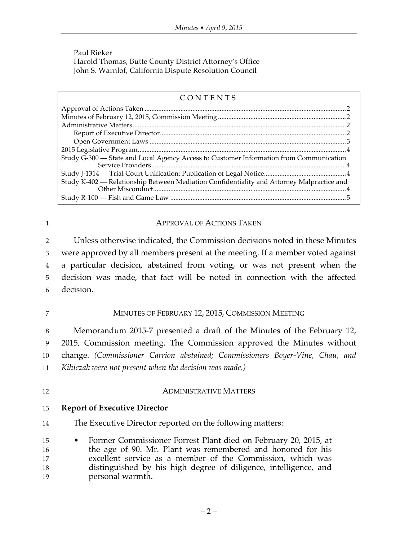Paul Rieker Harold Thomas, Butte County District Attorney's Office John S. Warnlof, California Dispute Resolution Council

#### CONTENTS Approval of Actions Taken ......................................................................................................................2 Minutes of February 12, 2015, Commission Meeting ...........................................................................2 Administrative Matters.............................................................................................................................2 Report of Executive Director.............................................................................................................2 Open Government Laws ...................................................................................................................3 2015 Legislative Program..........................................................................................................................4 Study G-300 — State and Local Agency Access to Customer Information from Communication Service Providers..................................................................................................................4 Study J-1314 — Trial Court Unification: Publication of Legal Notice................................................4 Study K-402 — Relationship Between Mediation Confidentiality and Attorney Malpractice and Other Misconduct.................................................................................................................4 Study R-100 — Fish and Game Law .......................................................................................................5

# 1 **APPROVAL OF ACTIONS TAKEN**

 Unless otherwise indicated, the Commission decisions noted in these Minutes were approved by all members present at the meeting. If a member voted against a particular decision, abstained from voting, or was not present when the decision was made, that fact will be noted in connection with the affected decision.

# 7 MINUTES OF FEBRUARY 12, 2015, COMMISSION MEETING

 Memorandum 2015-7 presented a draft of the Minutes of the February 12, 2015, Commission meeting. The Commission approved the Minutes without change. *(Commissioner Carrion abstained; Commissioners Boyer-Vine, Chau, and Kihiczak were not present when the decision was made.)*

### 12 **ADMINISTRATIVE MATTERS**

# 13 **Report of Executive Director**

14 The Executive Director reported on the following matters:

 • Former Commissioner Forrest Plant died on February 20, 2015, at the age of 90. Mr. Plant was remembered and honored for his excellent service as a member of the Commission, which was distinguished by his high degree of diligence, intelligence, and personal warmth.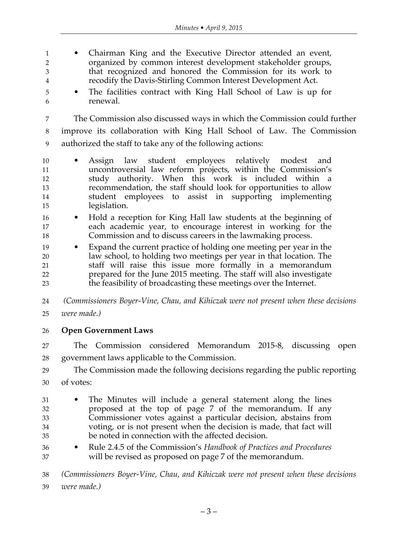• Chairman King and the Executive Director attended an event, organized by common interest development stakeholder groups, that recognized and honored the Commission for its work to recodify the Davis-Stirling Common Interest Development Act.

 • The facilities contract with King Hall School of Law is up for renewal.

 The Commission also discussed ways in which the Commission could further improve its collaboration with King Hall School of Law. The Commission authorized the staff to take any of the following actions:

- Assign law student employees relatively modest and uncontroversial law reform projects, within the Commission's study authority. When this work is included within a recommendation, the staff should look for opportunities to allow student employees to assist in supporting implementing legislation.
- Hold a reception for King Hall law students at the beginning of each academic year, to encourage interest in working for the Commission and to discuss careers in the lawmaking process.
- Expand the current practice of holding one meeting per year in the law school, to holding two meetings per year in that location. The staff will raise this issue more formally in a memorandum prepared for the June 2015 meeting. The staff will also investigate the feasibility of broadcasting these meetings over the Internet.

 *(Commissioners Boyer-Vine, Chau, and Kihiczak were not present when these decisions were made.)*

**Open Government Laws**

 The Commission considered Memorandum 2015-8, discussing open government laws applicable to the Commission.

- The Commission made the following decisions regarding the public reporting
- of votes:
- The Minutes will include a general statement along the lines proposed at the top of page 7 of the memorandum. If any Commissioner votes against a particular decision, abstains from voting, or is not present when the decision is made, that fact will be noted in connection with the affected decision.
- Rule 2.4.5 of the Commission's *Handbook of Practices and Procedures*  will be revised as proposed on page 7 of the memorandum.

 *(Commissioners Boyer-Vine, Chau, and Kihiczak were not present when these decisions were made.)*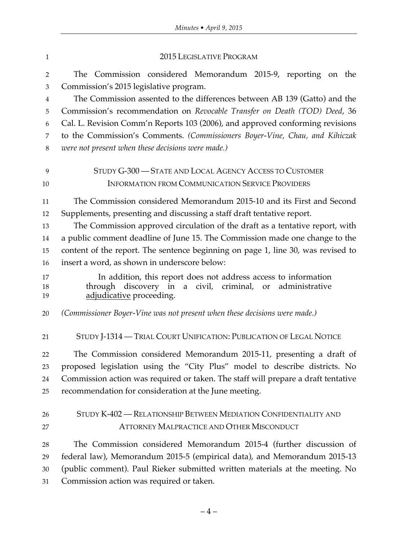| $\mathbf{1}$   | 2015 LEGISLATIVE PROGRAM                                                                                                                                 |
|----------------|----------------------------------------------------------------------------------------------------------------------------------------------------------|
| $\sqrt{2}$     | The Commission considered Memorandum 2015-9, reporting on the                                                                                            |
| $\mathfrak{Z}$ | Commission's 2015 legislative program.                                                                                                                   |
| $\overline{4}$ | The Commission assented to the differences between AB 139 (Gatto) and the                                                                                |
| 5              | Commission's recommendation on Revocable Transfer on Death (TOD) Deed, 36                                                                                |
| 6              | Cal. L. Revision Comm'n Reports 103 (2006), and approved conforming revisions                                                                            |
| 7              | to the Commission's Comments. (Commissioners Boyer-Vine, Chau, and Kihiczak                                                                              |
| $\,8\,$        | were not present when these decisions were made.)                                                                                                        |
| 9              | STUDY G-300 - STATE AND LOCAL AGENCY ACCESS TO CUSTOMER                                                                                                  |
| 10             | <b>INFORMATION FROM COMMUNICATION SERVICE PROVIDERS</b>                                                                                                  |
| 11             | The Commission considered Memorandum 2015-10 and its First and Second                                                                                    |
| 12             | Supplements, presenting and discussing a staff draft tentative report.                                                                                   |
| 13             | The Commission approved circulation of the draft as a tentative report, with                                                                             |
| 14             | a public comment deadline of June 15. The Commission made one change to the                                                                              |
| 15             | content of the report. The sentence beginning on page 1, line 30, was revised to                                                                         |
| 16             | insert a word, as shown in underscore below:                                                                                                             |
| 17<br>18<br>19 | In addition, this report does not address access to information<br>through discovery in a civil, criminal, or administrative<br>adjudicative proceeding. |
| 20             | (Commissioner Boyer-Vine was not present when these decisions were made.)                                                                                |
| 21             | STUDY J-1314 — TRIAL COURT UNIFICATION: PUBLICATION OF LEGAL NOTICE                                                                                      |
| 22             | The Commission considered Memorandum 2015-11, presenting a draft of                                                                                      |
| 23             | proposed legislation using the "City Plus" model to describe districts. No                                                                               |
| 24             | Commission action was required or taken. The staff will prepare a draft tentative                                                                        |
| 25             | recommendation for consideration at the June meeting.                                                                                                    |
| 26             | STUDY K-402 - RELATIONSHIP BETWEEN MEDIATION CONFIDENTIALITY AND                                                                                         |
| 27             | <b>ATTORNEY MALPRACTICE AND OTHER MISCONDUCT</b>                                                                                                         |
| 28             | The Commission considered Memorandum 2015-4 (further discussion of                                                                                       |
| 29             | federal law), Memorandum 2015-5 (empirical data), and Memorandum 2015-13                                                                                 |
| 30             | (public comment). Paul Rieker submitted written materials at the meeting. No                                                                             |
| 31             | Commission action was required or taken.                                                                                                                 |